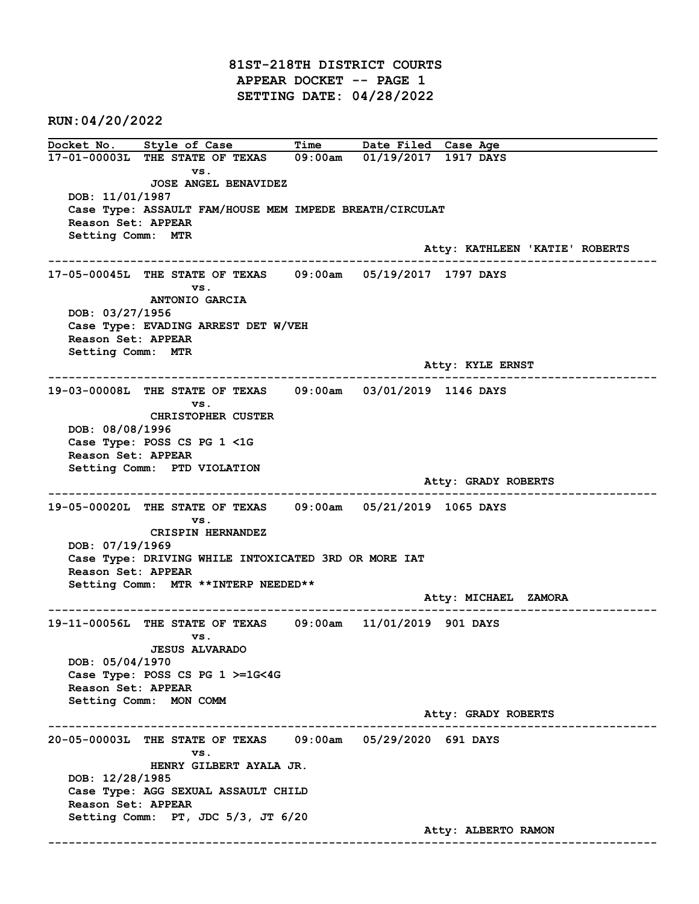81ST-218TH DISTRICT COURTS APPEAR DOCKET -- PAGE 1 SETTING DATE: 04/28/2022

RUN:04/20/2022

Docket No. Style of Case Time Date Filed Case Age 17-01-00003L THE STATE OF TEXAS 09:00am 01/19/2017 1917 DAYS vs. JOSE ANGEL BENAVIDEZ DOB: 11/01/1987 Case Type: ASSAULT FAM/HOUSE MEM IMPEDE BREATH/CIRCULAT Reason Set: APPEAR Setting Comm: MTR Atty: KATHLEEN 'KATIE' ROBERTS ------------------------------------------------------------------------------------------------------------------------ 17-05-00045L THE STATE OF TEXAS 09:00am 05/19/2017 1797 DAYS vs. ANTONIO GARCIA DOB: 03/27/1956 Case Type: EVADING ARREST DET W/VEH Reason Set: APPEAR Setting Comm: MTR Atty: KYLE ERNST ------------------------------------------------------------------------------------------------------------------------ 19-03-00008L THE STATE OF TEXAS 09:00am 03/01/2019 1146 DAYS vs. CHRISTOPHER CUSTER DOB: 08/08/1996 Case Type: POSS CS PG 1 <1G Reason Set: APPEAR Setting Comm: PTD VIOLATION Atty: GRADY ROBERTS ------------------------------------------------------------------------------------------------------------------------ 19-05-00020L THE STATE OF TEXAS 09:00am 05/21/2019 1065 DAYS vs. CRISPIN HERNANDEZ DOB: 07/19/1969 Case Type: DRIVING WHILE INTOXICATED 3RD OR MORE IAT Reason Set: APPEAR Setting Comm: MTR \*\*INTERP NEEDED\*\* Atty: MICHAEL ZAMORA ------------------------------------------------------------------------------------------------------------------------ 19-11-00056L THE STATE OF TEXAS 09:00am 11/01/2019 901 DAYS vs. JESUS ALVARADO DOB: 05/04/1970 Case Type: POSS CS PG 1 >=1G<4G Reason Set: APPEAR Setting Comm: MON COMM Atty: GRADY ROBERTS ------------------------------------------------------------------------------------------------------------------------ 20-05-00003L THE STATE OF TEXAS 09:00am 05/29/2020 691 DAYS vs. HENRY GILBERT AYALA JR. DOB: 12/28/1985 Case Type: AGG SEXUAL ASSAULT CHILD Reason Set: APPEAR Setting Comm: PT, JDC 5/3, JT 6/20 Atty: ALBERTO RAMON ------------------------------------------------------------------------------------------------------------------------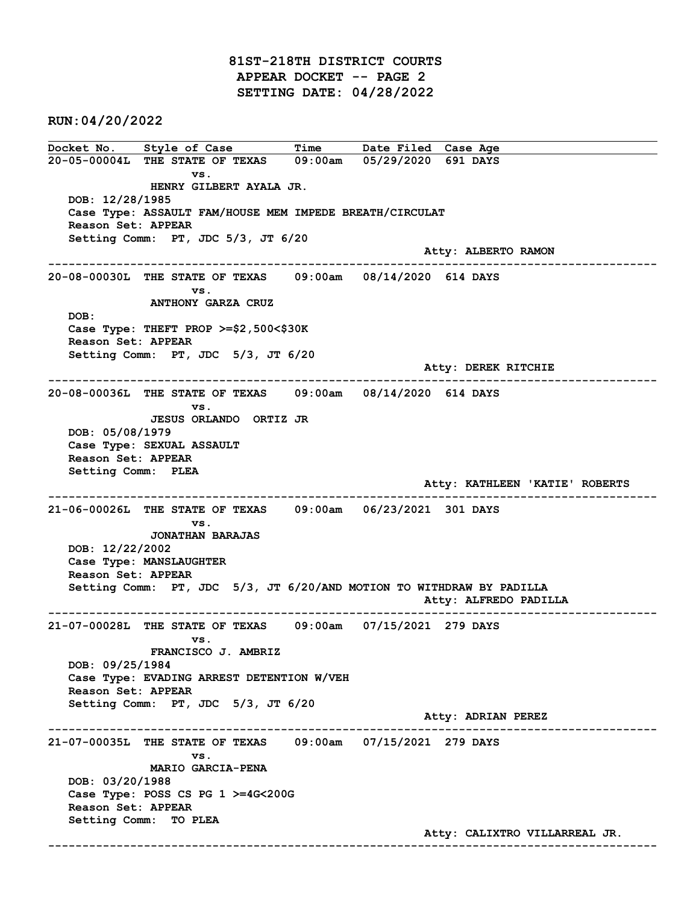81ST-218TH DISTRICT COURTS APPEAR DOCKET -- PAGE 2 SETTING DATE: 04/28/2022

RUN:04/20/2022

Docket No. Style of Case Time Date Filed Case Age 20-05-00004L THE STATE OF TEXAS 09:00am 05/29/2020 691 DAYS vs. HENRY GILBERT AYALA JR. DOB: 12/28/1985 Case Type: ASSAULT FAM/HOUSE MEM IMPEDE BREATH/CIRCULAT Reason Set: APPEAR Setting Comm: PT, JDC 5/3, JT 6/20 Atty: ALBERTO RAMON ------------------------------------------------------------------------------------------------------------------------ 20-08-00030L THE STATE OF TEXAS 09:00am 08/14/2020 614 DAYS vs. ANTHONY GARZA CRUZ DOB: Case Type: THEFT PROP >=\$2,500<\$30K Reason Set: APPEAR Setting Comm: PT, JDC 5/3, JT 6/20 Atty: DEREK RITCHIE ------------------------------------------------------------------------------------------------------------------------ 20-08-00036L THE STATE OF TEXAS 09:00am 08/14/2020 614 DAYS vs. JESUS ORLANDO ORTIZ JR DOB: 05/08/1979 Case Type: SEXUAL ASSAULT Reason Set: APPEAR Setting Comm: PLEA Atty: KATHLEEN 'KATIE' ROBERTS ------------------------------------------------------------------------------------------------------------------------ 21-06-00026L THE STATE OF TEXAS 09:00am 06/23/2021 301 DAYS vs. JONATHAN BARAJAS DOB: 12/22/2002 Case Type: MANSLAUGHTER Reason Set: APPEAR Setting Comm: PT, JDC 5/3, JT 6/20/AND MOTION TO WITHDRAW BY PADILLA Atty: ALFREDO PADILLA ------------------------------------------------------------------------------------------------------------------------ 21-07-00028L THE STATE OF TEXAS 09:00am 07/15/2021 279 DAYS vs. FRANCISCO J. AMBRIZ DOB: 09/25/1984 Case Type: EVADING ARREST DETENTION W/VEH Reason Set: APPEAR Setting Comm: PT, JDC 5/3, JT 6/20 Atty: ADRIAN PEREZ ------------------------------------------------------------------------------------------------------------------------ 21-07-00035L THE STATE OF TEXAS 09:00am 07/15/2021 279 DAYS vs. MARIO GARCIA-PENA DOB: 03/20/1988 Case Type: POSS CS PG 1 >=4G<200G Reason Set: APPEAR Setting Comm: TO PLEA Atty: CALIXTRO VILLARREAL JR. ------------------------------------------------------------------------------------------------------------------------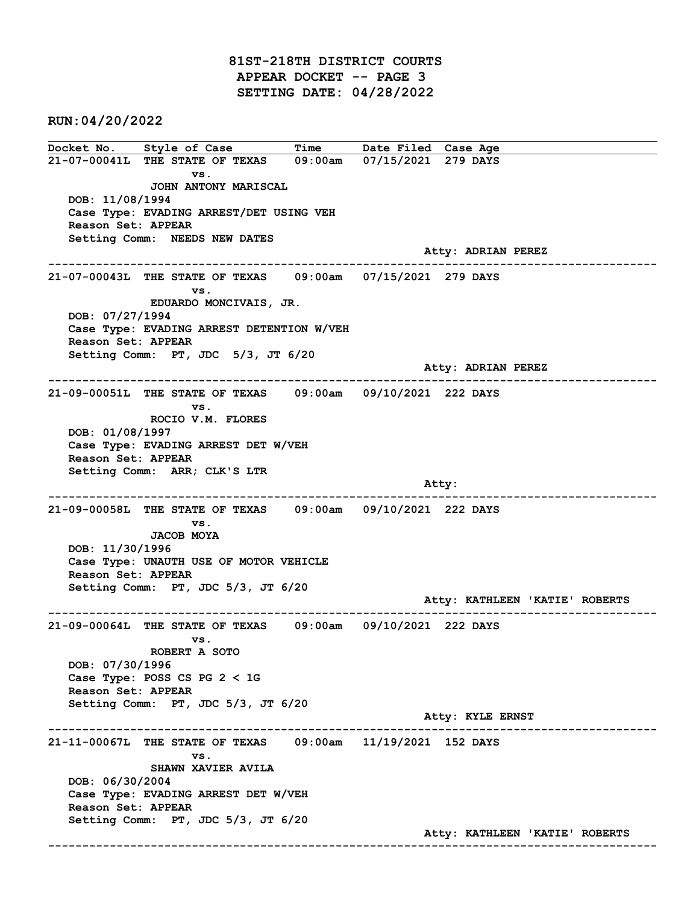81ST-218TH DISTRICT COURTS APPEAR DOCKET -- PAGE 3 SETTING DATE: 04/28/2022

RUN:04/20/2022

Docket No. Style of Case Time Date Filed Case Age 21-07-00041L THE STATE OF TEXAS 09:00am 07/15/2021 279 DAYS vs. JOHN ANTONY MARISCAL DOB: 11/08/1994 Case Type: EVADING ARREST/DET USING VEH Reason Set: APPEAR Setting Comm: NEEDS NEW DATES Atty: ADRIAN PEREZ ------------------------------------------------------------------------------------------------------------------------ 21-07-00043L THE STATE OF TEXAS 09:00am 07/15/2021 279 DAYS vs. EDUARDO MONCIVAIS, JR. DOB: 07/27/1994 Case Type: EVADING ARREST DETENTION W/VEH Reason Set: APPEAR Setting Comm: PT, JDC 5/3, JT 6/20 Atty: ADRIAN PEREZ ------------------------------------------------------------------------------------------------------------------------ 21-09-00051L THE STATE OF TEXAS 09:00am 09/10/2021 222 DAYS vs. ROCIO V.M. FLORES DOB: 01/08/1997 Case Type: EVADING ARREST DET W/VEH Reason Set: APPEAR Setting Comm: ARR; CLK'S LTR and the control of the control of the control of the control of the control of the control of the control of the control of the control of the control of the control of the control of the control of the control of the cont ------------------------------------------------------------------------------------------------------------------------ 21-09-00058L THE STATE OF TEXAS 09:00am 09/10/2021 222 DAYS vs. JACOB MOYA DOB: 11/30/1996 Case Type: UNAUTH USE OF MOTOR VEHICLE Reason Set: APPEAR Setting Comm: PT, JDC 5/3, JT 6/20 Atty: KATHLEEN 'KATIE' ROBERTS ------------------------------------------------------------------------------------------------------------------------ 21-09-00064L THE STATE OF TEXAS 09:00am 09/10/2021 222 DAYS vs. ROBERT A SOTO DOB: 07/30/1996 Case Type: POSS CS PG 2 < 1G Reason Set: APPEAR Setting Comm: PT, JDC 5/3, JT 6/20 Atty: KYLE ERNST ------------------------------------------------------------------------------------------------------------------------ 21-11-00067L THE STATE OF TEXAS 09:00am 11/19/2021 152 DAYS vs. SHAWN XAVIER AVILA DOB: 06/30/2004 Case Type: EVADING ARREST DET W/VEH Reason Set: APPEAR Setting Comm: PT, JDC 5/3, JT 6/20 Atty: KATHLEEN 'KATIE' ROBERTS ------------------------------------------------------------------------------------------------------------------------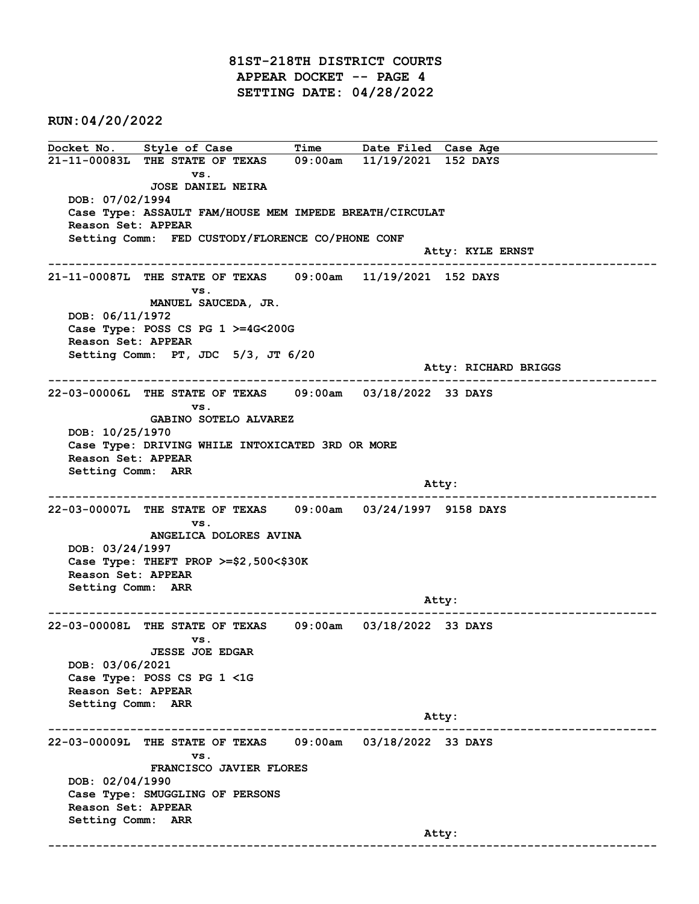81ST-218TH DISTRICT COURTS APPEAR DOCKET -- PAGE 4 SETTING DATE: 04/28/2022

RUN:04/20/2022

Docket No. Style of Case Time Date Filed Case Age 21-11-00083L THE STATE OF TEXAS 09:00am 11/19/2021 152 DAYS vs. JOSE DANIEL NEIRA DOB: 07/02/1994 Case Type: ASSAULT FAM/HOUSE MEM IMPEDE BREATH/CIRCULAT Reason Set: APPEAR Setting Comm: FED CUSTODY/FLORENCE CO/PHONE CONF Atty: KYLE ERNST ------------------------------------------------------------------------------------------------------------------------ 21-11-00087L THE STATE OF TEXAS 09:00am 11/19/2021 152 DAYS vs. MANUEL SAUCEDA, JR. DOB: 06/11/1972 Case Type: POSS CS PG 1 >=4G<200G Reason Set: APPEAR Setting Comm: PT, JDC 5/3, JT 6/20 Atty: RICHARD BRIGGS ------------------------------------------------------------------------------------------------------------------------ 22-03-00006L THE STATE OF TEXAS 09:00am 03/18/2022 33 DAYS vs. GABINO SOTELO ALVAREZ DOB: 10/25/1970 Case Type: DRIVING WHILE INTOXICATED 3RD OR MORE Reason Set: APPEAR Setting Comm: ARR and the control of the control of the control of the control of the control of the control of the control of the control of the control of the control of the control of the control of the control of the control of the cont ------------------------------------------------------------------------------------------------------------------------ 22-03-00007L THE STATE OF TEXAS 09:00am 03/24/1997 9158 DAYS vs. ANGELICA DOLORES AVINA DOB: 03/24/1997 Case Type: THEFT PROP >=\$2,500<\$30K Reason Set: APPEAR Setting Comm: ARR Atty: ------------------------------------------------------------------------------------------------------------------------ 22-03-00008L THE STATE OF TEXAS 09:00am 03/18/2022 33 DAYS vs. JESSE JOE EDGAR DOB: 03/06/2021 Case Type: POSS CS PG 1 <1G Reason Set: APPEAR Setting Comm: ARR Atty: ------------------------------------------------------------------------------------------------------------------------ 22-03-00009L THE STATE OF TEXAS 09:00am 03/18/2022 33 DAYS vs. FRANCISCO JAVIER FLORES DOB: 02/04/1990 Case Type: SMUGGLING OF PERSONS Reason Set: APPEAR Setting Comm: ARR and the control of the control of the control of the control of the control of the control of the control of the control of the control of the control of the control of the control of the control of the control of the cont ------------------------------------------------------------------------------------------------------------------------